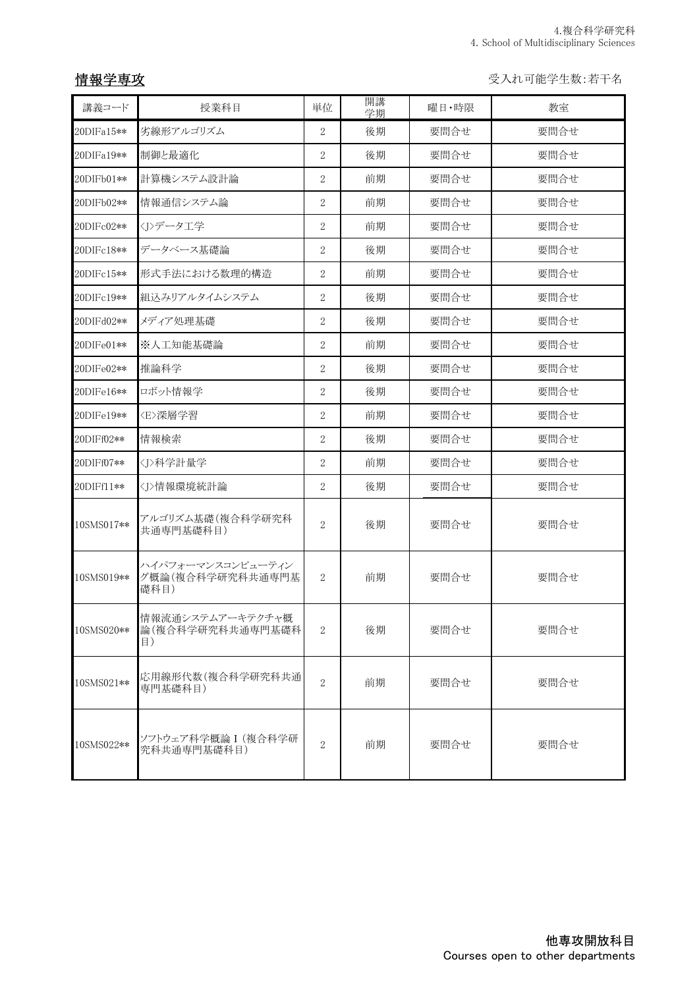## 情報学専攻

受入れ可能学生数:若干名

| 講義コード      | 授業科目                                          | 単位               | 開講<br>学期 | 曜日・時限 | 教室   |
|------------|-----------------------------------------------|------------------|----------|-------|------|
| 20DIFa15** | 劣線形アルゴリズム                                     | $\overline{2}$   | 後期       | 要問合せ  | 要問合せ |
| 20DIFa19** | 制御と最適化                                        | $\overline{2}$   | 後期       | 要問合せ  | 要問合せ |
| 20DIFb01** | 計算機システム設計論                                    | $\overline{2}$   | 前期       | 要問合せ  | 要問合せ |
| 20DIFb02** | 情報通信システム論                                     | $\overline{2}$   | 前期       | 要問合せ  | 要問合せ |
| 20DIFc02** | <j>データ工学</j>                                  | $\overline{2}$   | 前期       | 要問合せ  | 要問合せ |
| 20DIFc18** | データベース基礎論                                     | $\overline{2}$   | 後期       | 要問合せ  | 要問合せ |
| 20DIFc15** | 形式手法における数理的構造                                 | $\overline{2}$   | 前期       | 要問合せ  | 要問合せ |
| 20DIFc19** | 組込みリアルタイムシステム                                 | $\overline{2}$   | 後期       | 要問合せ  | 要問合せ |
| 20DIFd02** | メディア処理基礎                                      | $\overline{2}$   | 後期       | 要問合せ  | 要問合せ |
| 20DIFe01** | ※人工知能基礎論                                      | $\overline{2}$   | 前期       | 要問合せ  | 要問合せ |
| 20DIFe02** | 推論科学                                          | 2                | 後期       | 要問合せ  | 要問合せ |
| 20DIFe16** | ロボット情報学                                       | $\overline{2}$   | 後期       | 要問合せ  | 要問合せ |
| 20DIFe19** | 〈E〉深層学習                                       | $\overline{2}$   | 前期       | 要問合せ  | 要問合せ |
| 20DIFf02** | 情報検索                                          | $\overline{2}$   | 後期       | 要問合せ  | 要問合せ |
| 20DIFf07** | <j>科学計量学</j>                                  | $\overline{2}$   | 前期       | 要問合せ  | 要問合せ |
| 20DIFf11** | 〈J>情報環境統計論                                    | $\overline{2}$   | 後期       | 要問合せ  | 要問合せ |
| 10SMS017** | アルゴリズム基礎(複合科学研究科<br>共通専門基礎科目)                 | $\overline{2}$   | 後期       | 要問合せ  | 要問合せ |
| 10SMS019** | ハイパフォーマンスコンピューティン<br>グ概論(複合科学研究科共通専門基<br>礎科目) | $\boldsymbol{2}$ | 前期       | 要問合せ  | 要問合せ |
| 10SMS020** | 情報流通システムアーキテクチャ概<br>論(複合科学研究科共通専門基礎科<br>目)    | $\overline{2}$   | 後期       | 要問合せ  | 要問合せ |
| 10SMS021** | 応用線形代数(複合科学研究科共通<br>専門基礎科目)                   | $\overline{2}$   | 前期       | 要問合せ  | 要問合せ |
| 10SMS022** | ソフトウェア科学概論 I (複合科学研<br>究科共通専門基礎科目)            | $\overline{2}$   | 前期       | 要問合せ  | 要問合せ |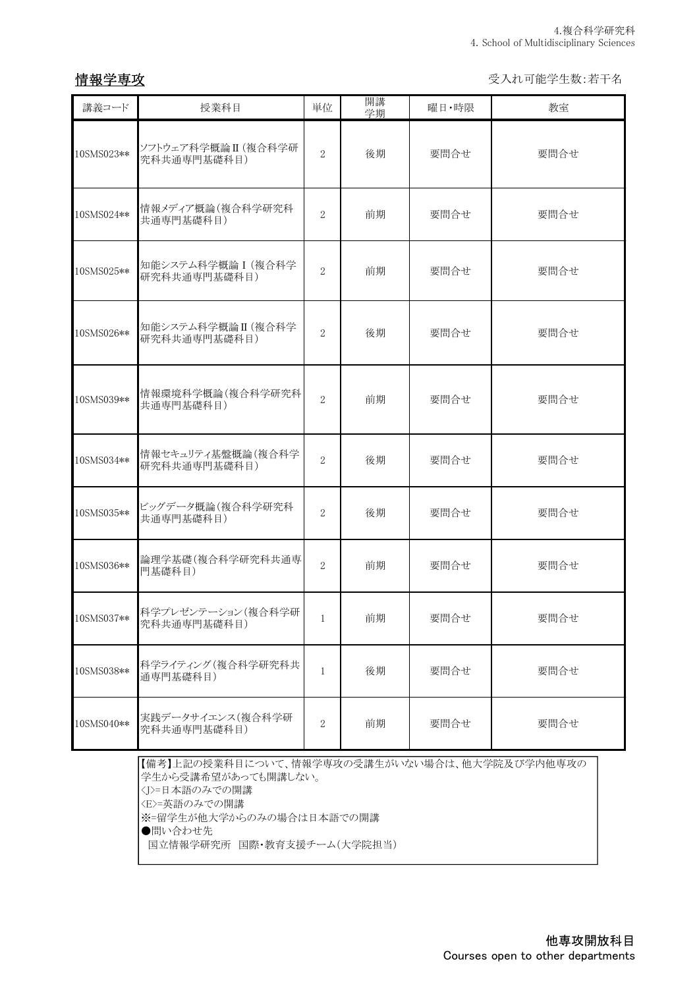## 情報学専攻

受入れ可能学生数:若干名

| 講義コード      | 授業科目                                                                                                                                        | 単位             | 開講<br>学期 | 曜日・時限 | 教室   |  |
|------------|---------------------------------------------------------------------------------------------------------------------------------------------|----------------|----------|-------|------|--|
| 10SMS023** | ソフトウェア科学概論 II (複合科学研<br>究科共通専門基礎科目)                                                                                                         | $\overline{2}$ | 後期       | 要問合せ  | 要問合せ |  |
| 10SMS024** | 情報メディア概論(複合科学研究科<br>共通専門基礎科目)                                                                                                               | $\overline{2}$ | 前期       | 要問合せ  | 要問合せ |  |
| 10SMS025** | 知能システム科学概論 I (複合科学<br>研究科共通専門基礎科目)                                                                                                          | $\overline{2}$ | 前期       | 要問合せ  | 要問合せ |  |
| 10SMS026** | 知能システム科学概論 II (複合科学<br>研究科共通専門基礎科目)                                                                                                         | $\overline{2}$ | 後期       | 要問合せ  | 要問合せ |  |
| 10SMS039** | 情報環境科学概論(複合科学研究科<br>共通専門基礎科目)                                                                                                               | $\sqrt{2}$     | 前期       | 要問合せ  | 要問合せ |  |
| 10SMS034** | 情報セキュリティ基盤概論(複合科学<br>研究科共通専門基礎科目)                                                                                                           | $\overline{2}$ | 後期       | 要問合せ  | 要問合せ |  |
| 10SMS035** | ビッグデータ概論(複合科学研究科<br>共通専門基礎科目)                                                                                                               | $\overline{2}$ | 後期       | 要問合せ  | 要問合せ |  |
| 10SMS036** | 論理学基礎(複合科学研究科共通専<br>門基礎科目)                                                                                                                  | $\overline{2}$ | 前期       | 要問合せ  | 要問合せ |  |
| 10SMS037** | 科学プレゼンテーション(複合科学研<br>究科共通専門基礎科目)                                                                                                            | $\mathbf{1}$   | 前期       | 要問合せ  | 要問合せ |  |
| 10SMS038** | 科学ライティング (複合科学研究科共<br>通専門基礎科目)                                                                                                              | $\mathbf{1}$   | 後期       | 要問合せ  | 要問合せ |  |
| 10SMS040** | 実践データサイエンス(複合科学研<br>究科共通専門基礎科目)                                                                                                             | $\overline{2}$ | 前期       | 要問合せ  | 要問合せ |  |
|            | 【備考】上記の授業科目について、情報学専攻の受講生がいない場合は、他大学院及び学内他専攻の<br>学生から受講希望があっても開講しない。<br><j>=日本語のみでの開講<br/><e>=英語のみでの開講<br/>※-印学生が仙士学からのひの担合け日本話での閲講</e></j> |                |          |       |      |  |

※=留学生が他大学からのみの場合は日本語での開講

●問い合わせ先

国立情報学研究所 国際・教育支援チーム(大学院担当)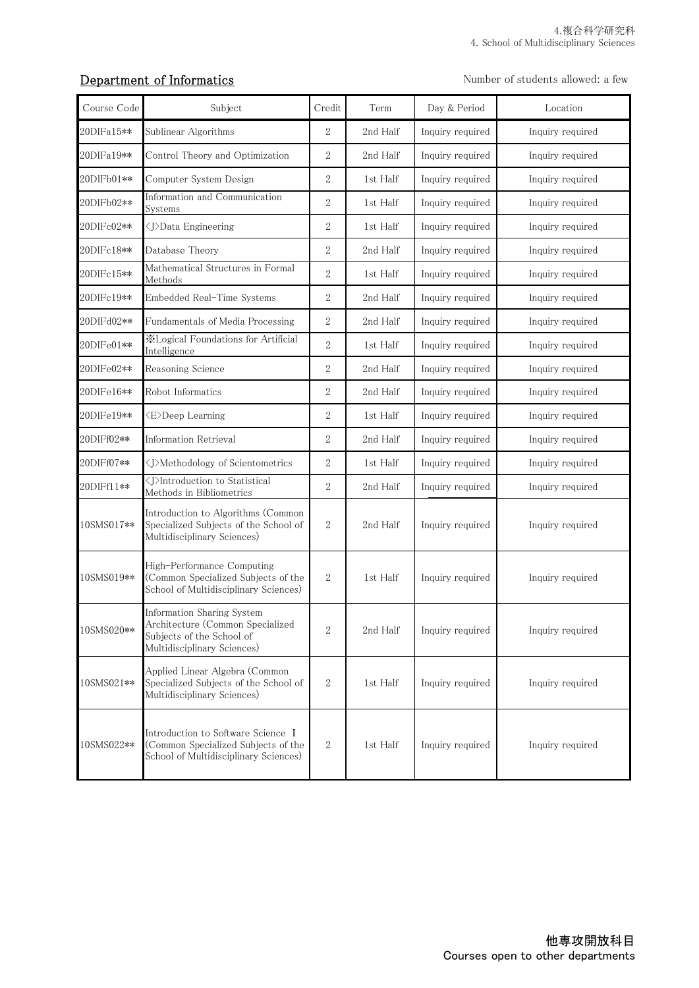## Department of Informatics

Number of students allowed: a few

| Course Code | Subject                                                                                                                    | Credit         | Term     | Day & Period     | Location         |
|-------------|----------------------------------------------------------------------------------------------------------------------------|----------------|----------|------------------|------------------|
| 20DIFa15**  | Sublinear Algorithms                                                                                                       | $\sqrt{2}$     | 2nd Half | Inquiry required | Inquiry required |
| 20DIFa19**  | Control Theory and Optimization                                                                                            | $\sqrt{2}$     | 2nd Half | Inquiry required | Inquiry required |
| 20DIFb01**  | Computer System Design                                                                                                     | $\sqrt{2}$     | 1st Half | Inquiry required | Inquiry required |
| 20DIFb02**  | Information and Communication<br>Systems                                                                                   | $\sqrt{2}$     | 1st Half | Inquiry required | Inquiry required |
| 20DIFc02**  | <j>Data Engineering</j>                                                                                                    | $\overline{2}$ | 1st Half | Inquiry required | Inquiry required |
| 20DIFc18**  | Database Theory                                                                                                            | $\sqrt{2}$     | 2nd Half | Inquiry required | Inquiry required |
| 20DIFc15**  | Mathematical Structures in Formal<br>Methods                                                                               | $\sqrt{2}$     | 1st Half | Inquiry required | Inquiry required |
| 20DIFc19**  | Embedded Real-Time Systems                                                                                                 | $\overline{2}$ | 2nd Half | Inquiry required | Inquiry required |
| 20DIFd02**  | Fundamentals of Media Processing                                                                                           | $\sqrt{2}$     | 2nd Half | Inquiry required | Inquiry required |
| 20DIFe01**  | <b>X</b> Logical Foundations for Artificial<br>Intelligence                                                                | $\overline{2}$ | 1st Half | Inquiry required | Inquiry required |
| 20DIFe02**  | Reasoning Science                                                                                                          | $\sqrt{2}$     | 2nd Half | Inquiry required | Inquiry required |
| 20DIFe16**  | Robot Informatics                                                                                                          | $\overline{2}$ | 2nd Half | Inquiry required | Inquiry required |
| 20DIFe19**  | <e>Deep Learning</e>                                                                                                       | $\sqrt{2}$     | 1st Half | Inquiry required | Inquiry required |
| 20DIFf02**  | <b>Information Retrieval</b>                                                                                               | $\overline{2}$ | 2nd Half | Inquiry required | Inquiry required |
| 20DIFf07**  | <j>Methodology of Scientometrics</j>                                                                                       | 2              | 1st Half | Inquiry required | Inquiry required |
| 20DIFf11**  | <j>Introduction to Statistical<br/>Methods in Bibliometrics</j>                                                            | $\overline{2}$ | 2nd Half | Inquiry required | Inquiry required |
| 10SMS017**  | Introduction to Algorithms (Common<br>Specialized Subjects of the School of<br>Multidisciplinary Sciences)                 | $\sqrt{2}$     | 2nd Half | Inquiry required | Inquiry required |
| 10SMS019**  | High-Performance Computing<br>(Common Specialized Subjects of the<br>School of Multidisciplinary Sciences)                 | $\sqrt{2}$     | 1st Half | Inquiry required | Inquiry required |
| 10SMS020**  | Information Sharing System<br>Architecture (Common Specialized<br>Subjects of the School of<br>Multidisciplinary Sciences) | $\overline{2}$ | 2nd Half | Inquiry required | Inquiry required |
| 10SMS021**  | Applied Linear Algebra (Common<br>Specialized Subjects of the School of<br>Multidisciplinary Sciences)                     | $\mathbf{2}$   | 1st Half | Inquiry required | Inquiry required |
| 10SMS022**  | Introduction to Software Science I<br>(Common Specialized Subjects of the<br>School of Multidisciplinary Sciences)         | $\sqrt{2}$     | 1st Half | Inquiry required | Inquiry required |